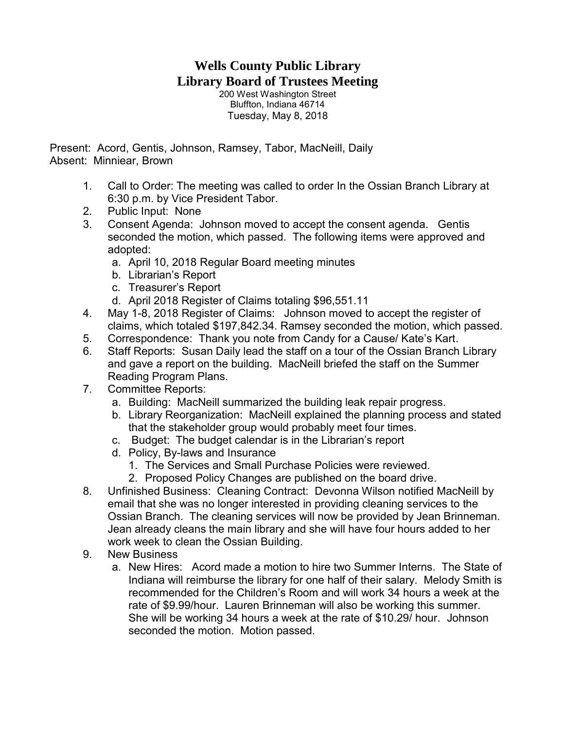## **Wells County Public Library Library Board of Trustees Meeting**

200 West Washington Street Bluffton, Indiana 46714 Tuesday, May 8, 2018

Present: Acord, Gentis, Johnson, Ramsey, Tabor, MacNeill, Daily Absent: Minniear, Brown

- 1. Call to Order: The meeting was called to order In the Ossian Branch Library at 6:30 p.m. by Vice President Tabor.
- 2. Public Input: None
- 3. Consent Agenda: Johnson moved to accept the consent agenda. Gentis seconded the motion, which passed. The following items were approved and adopted:
	- a. April 10, 2018 Regular Board meeting minutes
	- b. Librarian's Report
	- c. Treasurer's Report
	- d. April 2018 Register of Claims totaling \$96,551.11
- 4. May 1-8, 2018 Register of Claims: Johnson moved to accept the register of claims, which totaled \$197,842.34. Ramsey seconded the motion, which passed.
- 5. Correspondence: Thank you note from Candy for a Cause/ Kate's Kart.
- 6. Staff Reports: Susan Daily lead the staff on a tour of the Ossian Branch Library and gave a report on the building. MacNeill briefed the staff on the Summer Reading Program Plans.
- 7. Committee Reports:
	- a. Building: MacNeill summarized the building leak repair progress.
	- b. Library Reorganization: MacNeill explained the planning process and stated that the stakeholder group would probably meet four times.
	- c. Budget: The budget calendar is in the Librarian's report
	- d. Policy, By-laws and Insurance
		- 1. The Services and Small Purchase Policies were reviewed.
		- 2. Proposed Policy Changes are published on the board drive.
- 8. Unfinished Business: Cleaning Contract: Devonna Wilson notified MacNeill by email that she was no longer interested in providing cleaning services to the Ossian Branch. The cleaning services will now be provided by Jean Brinneman. Jean already cleans the main library and she will have four hours added to her work week to clean the Ossian Building.
- 9. New Business
	- a. New Hires: Acord made a motion to hire two Summer Interns. The State of Indiana will reimburse the library for one half of their salary. Melody Smith is recommended for the Children's Room and will work 34 hours a week at the rate of \$9.99/hour. Lauren Brinneman will also be working this summer. She will be working 34 hours a week at the rate of \$10.29/ hour. Johnson seconded the motion. Motion passed.